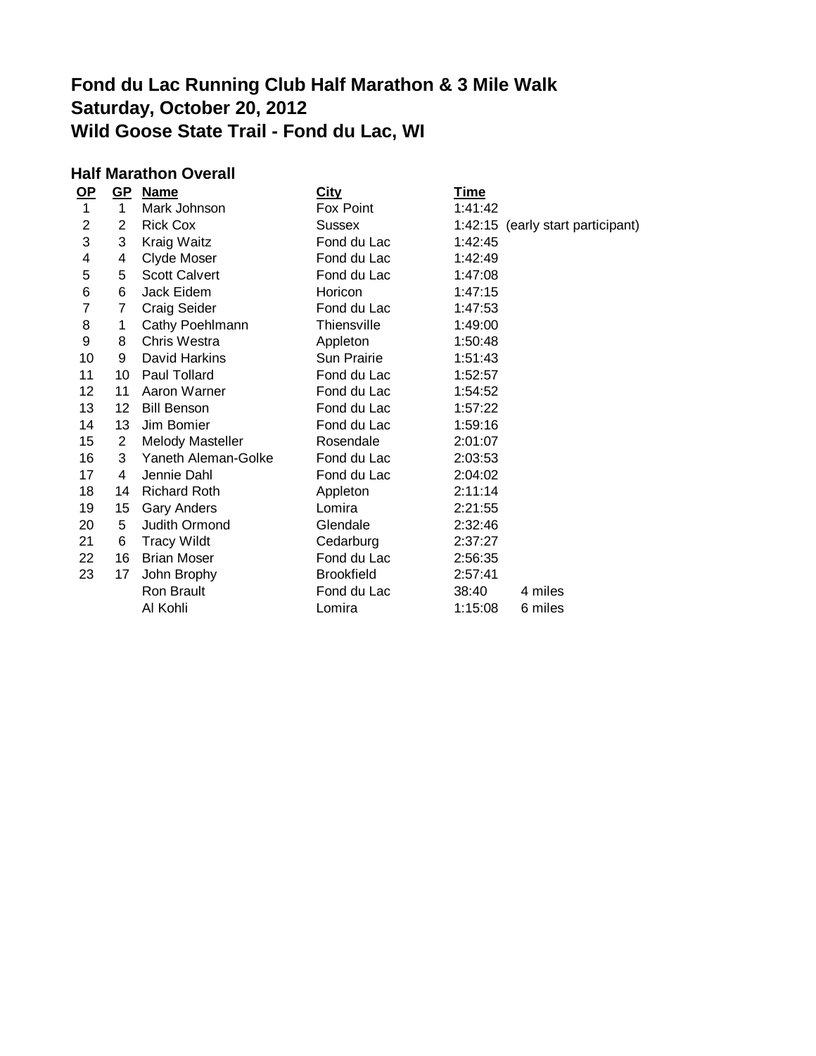# **Fond du Lac Running Club Half Marathon & 3 Mile Walk Saturday, October 20, 2012 Wild Goose State Trail - Fond du Lac, WI**

### **Half Marathon Overall**

| $OP$           | $GP$            | <b>Name</b>             | <b>City</b>       | <u>Time</u>                       |  |
|----------------|-----------------|-------------------------|-------------------|-----------------------------------|--|
| $\mathbf{1}$   | $\mathbf{1}$    | Mark Johnson            | Fox Point         | 1:41:42                           |  |
| $\overline{2}$ | $\overline{2}$  | <b>Rick Cox</b>         | <b>Sussex</b>     | 1:42:15 (early start participant) |  |
| 3              | 3               | Kraig Waitz             | Fond du Lac       | 1:42:45                           |  |
| 4              | 4               | Clyde Moser             | Fond du Lac       | 1:42:49                           |  |
| 5              | 5               | <b>Scott Calvert</b>    | Fond du Lac       | 1:47:08                           |  |
| 6              | 6               | Jack Eidem              | Horicon           | 1:47:15                           |  |
| 7              | 7               | Craig Seider            | Fond du Lac       | 1:47:53                           |  |
| 8              | 1               | Cathy Poehlmann         | Thiensville       | 1:49:00                           |  |
| 9              | 8               | Chris Westra            | Appleton          | 1:50:48                           |  |
| 10             | 9               | David Harkins           | Sun Prairie       | 1:51:43                           |  |
| 11             | 10              | Paul Tollard            | Fond du Lac       | 1:52:57                           |  |
| 12             | 11              | Aaron Warner            | Fond du Lac       | 1:54:52                           |  |
| 13             | 12 <sub>2</sub> | <b>Bill Benson</b>      | Fond du Lac       | 1:57:22                           |  |
| 14             | 13              | Jim Bomier              | Fond du Lac       | 1:59:16                           |  |
| 15             | 2               | <b>Melody Masteller</b> | Rosendale         | 2:01:07                           |  |
| 16             | 3               | Yaneth Aleman-Golke     | Fond du Lac       | 2:03:53                           |  |
| 17             | 4               | Jennie Dahl             | Fond du Lac       | 2:04:02                           |  |
| 18             | 14              | <b>Richard Roth</b>     | Appleton          | 2:11:14                           |  |
| 19             | 15              | <b>Gary Anders</b>      | Lomira            | 2:21:55                           |  |
| 20             | 5               | Judith Ormond           | Glendale          | 2:32:46                           |  |
| 21             | 6               | <b>Tracy Wildt</b>      | Cedarburg         | 2:37:27                           |  |
| 22             | 16              | <b>Brian Moser</b>      | Fond du Lac       | 2:56:35                           |  |
| 23             | 17              | John Brophy             | <b>Brookfield</b> | 2:57:41                           |  |
|                |                 | Ron Brault              | Fond du Lac       | 4 miles<br>38:40                  |  |
|                |                 | Al Kohli                | Lomira            | 6 miles<br>1:15:08                |  |
|                |                 |                         |                   |                                   |  |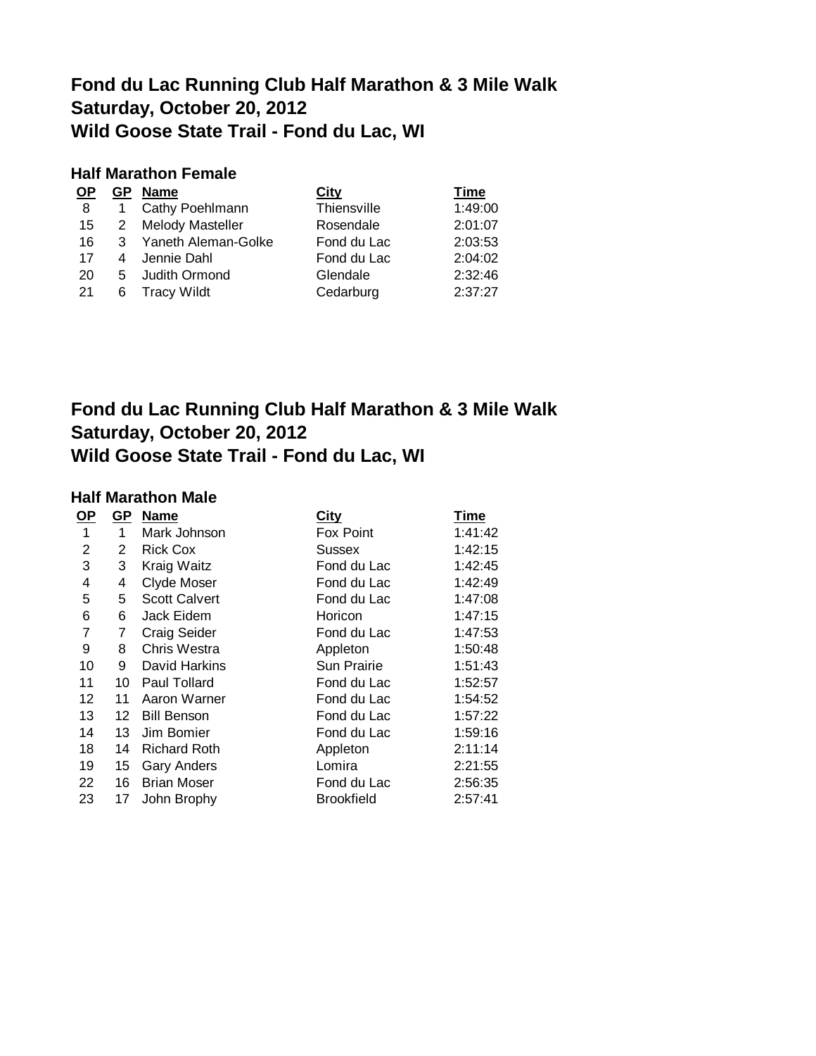### **Fond du Lac Running Club Half Marathon & 3 Mile Walk Saturday, October 20, 2012 Wild Goose State Trail - Fond du Lac, WI**

#### **Half Marathon Female**

| <b>OP</b> |                | GP Name             | <b>City</b> | Time    |
|-----------|----------------|---------------------|-------------|---------|
| -8        |                | Cathy Poehlmann     | Thiensville | 1:49:00 |
| 15        | $\overline{2}$ | Melody Masteller    | Rosendale   | 2:01:07 |
| 16        | -3-            | Yaneth Aleman-Golke | Fond du Lac | 2:03:53 |
| 17        | 4              | Jennie Dahl         | Fond du Lac | 2:04:02 |
| 20        | $5 -$          | Judith Ormond       | Glendale    | 2:32:46 |
| -21       | 6              | <b>Tracy Wildt</b>  | Cedarburg   | 2:37:27 |

## **Fond du Lac Running Club Half Marathon & 3 Mile Walk Saturday, October 20, 2012 Wild Goose State Trail - Fond du Lac, WI**

#### **Half Marathon Male**

| <u>OP</u>      | <u>GP</u> | <b>Name</b>          | <b>City</b>        | Time    |
|----------------|-----------|----------------------|--------------------|---------|
| 1              | 1         | Mark Johnson         | Fox Point          | 1:41:42 |
| $\overline{2}$ | 2         | <b>Rick Cox</b>      | Sussex             | 1:42:15 |
| 3              | 3         | Kraig Waitz          | Fond du Lac        | 1:42:45 |
| 4              | 4         | <b>Clyde Moser</b>   | Fond du Lac        | 1:42:49 |
| 5              | 5         | <b>Scott Calvert</b> | Fond du Lac        | 1:47:08 |
| 6              | 6         | Jack Eidem           | Horicon            | 1:47:15 |
| 7              | 7         | <b>Craig Seider</b>  | Fond du Lac        | 1:47:53 |
| 9              | 8         | <b>Chris Westra</b>  | Appleton           | 1:50:48 |
| 10             | 9         | David Harkins        | <b>Sun Prairie</b> | 1:51:43 |
| 11             | 10        | Paul Tollard         | Fond du Lac        | 1:52:57 |
| 12             | 11        | Aaron Warner         | Fond du Lac        | 1:54:52 |
| 13             | 12        | <b>Bill Benson</b>   | Fond du Lac        | 1:57:22 |
| 14             | 13        | Jim Bomier           | Fond du Lac        | 1:59:16 |
| 18             | 14        | <b>Richard Roth</b>  | Appleton           | 2:11:14 |
| 19             | 15        | <b>Gary Anders</b>   | Lomira             | 2:21:55 |
| 22             | 16        | <b>Brian Moser</b>   | Fond du Lac        | 2:56:35 |
| 23             | 17        | John Brophy          | <b>Brookfield</b>  | 2:57:41 |